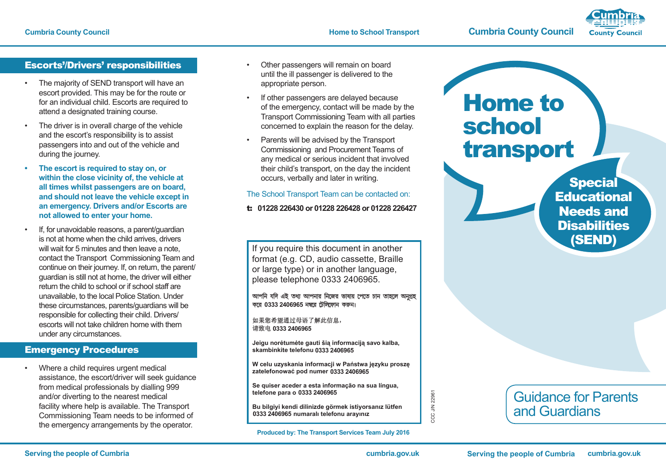

### Escorts'/Drivers' responsibilities

- The majority of SEND transport will have an escort provided. This may be for the route or for an individual child. Escorts are required to attend a designated training course.
- The driver is in overall charge of the vehicle and the escort's responsibility is to assist passengers into and out of the vehicle and during the journey.
- **Fhe escort is required to stay on, or within the close vicinity of, the vehicle at all times whilst passengers are on board, and should not leave the vehicle except in an emergency. Drivers and/or Escorts are not allowed to enter your home.**
- If, for unavoidable reasons, a parent/guardian is not at home when the child arrives, drivers will wait for 5 minutes and then leave a note. contact the Transport Commissioning Team and continue on their journey. If, on return, the parent/ guardian is still not at home, the driver will either return the child to school or if school staff are unavailable, to the local Police Station. Under these circumstances, parents/guardians will be responsible for collecting their child. Drivers/ escorts will not take children home with them under any circumstances.

# Emergency Procedures

Where a child requires urgent medical assistance, the escort/driver will seek guidance from medical professionals by dialling 999 and/or diverting to the nearest medical facility where help is available. The Transport Commissioning Team needs to be informed of the emergency arrangements by the operator.

- Other passengers will remain on board until the ill passenger is delivered to the appropriate person.
- If other passengers are delayed because of the emergency, contact will be made by the Transport Commissioning Team with all parties concerned to explain the reason for the delay.
- Parents will be advised by the Transport Commissioning and Procurement Teams of any medical or serious incident that involved their child's transport, on the day the incident occurs, verbally and later in writing.

### The School Transport Team can be contacted on:

#### t: **01228 226430 or 01228 226428 or 01228 226427**

If you require this document in another format (e.g. CD, audio cassette, Braille or large type) or in another language, please telephone 0333 2406965.

আপনি যদি এই তথ্য আপনার নিজের ভাষায় পেতে চান তাহলে অনুগ্রহ করে 0333 2406965 নম্বরে টেলিফোন কর<sub>ি</sub>ন।

如果您希望通过母语了解此信息, 请致电 0333 2406965

**Jeigu norėtumėte gauti šią informaciją savo kalba, skambinkite telefonu 01228 606060** 0333 2406965<br>**ıorėtumėte gauti šią informa**<br>inkite telefonu 0333 2406965

**W celu uzyskania informacji w Państwa języku proszę zatelefonować** pod numer 0333 2406965

**Se quiser aceder a esta informação na sua língua, telefone para o 01228 606060 0d numer 0333 2406965**<br>r a esta informação na s<br>0333 2406965

**Bu bilgiyi kendi dilinizde görmek istiyorsanz lütfen 01228 606060 numaral telefonu araynz 0333 2406965**

**Produced by: The Transport Services Team July 2016**

# Home to school transport

**Special Educational** Needs and **Disabilities** (SEND)

# Guidance for Parents and Guardians

CCC J/N 22961

CCC J/N 22961